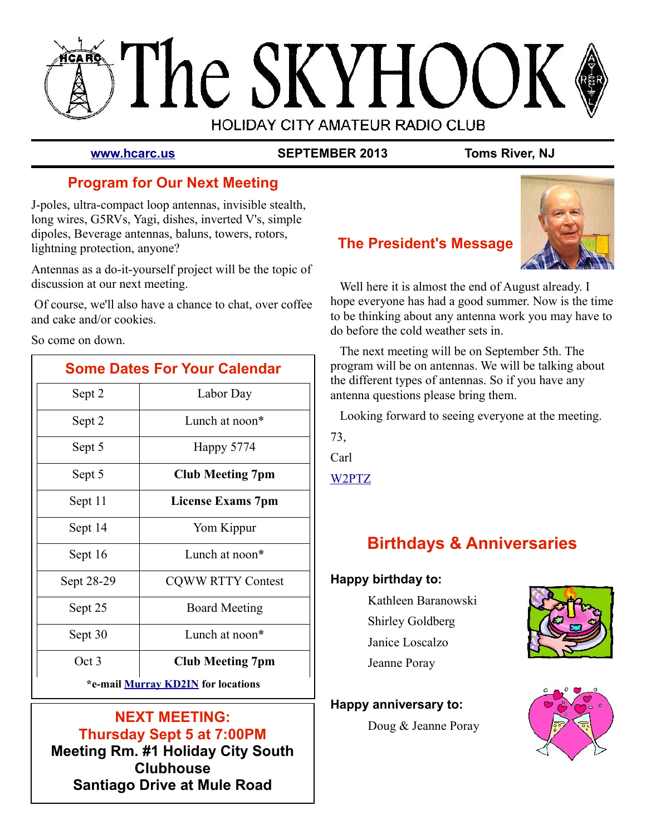# The SKYHOOI **HOLIDAY CITY AMATEUR RADIO CLUB**

**[www.hcarc.us](http://www.hcarc.us/) SEPTEMBER 2013 Toms River, NJ**

# **Program for Our Next Meeting**

J-poles, ultra-compact loop antennas, invisible stealth, long wires, G5RVs, Yagi, dishes, inverted V's, simple dipoles, Beverage antennas, baluns, towers, rotors, lightning protection, anyone?

Antennas as a do-it-yourself project will be the topic of discussion at our next meeting.

 Of course, we'll also have a chance to chat, over coffee and cake and/or cookies.

So come on down.

| <b>Some Dates For Your Calendar</b> |                          |  |  |  |  |
|-------------------------------------|--------------------------|--|--|--|--|
| Sept 2                              | Labor Day                |  |  |  |  |
| Sept 2                              | Lunch at noon*           |  |  |  |  |
| Sept 5                              | Happy 5774               |  |  |  |  |
| Sept 5                              | <b>Club Meeting 7pm</b>  |  |  |  |  |
| Sept 11                             | <b>License Exams 7pm</b> |  |  |  |  |
| Sept 14                             | Yom Kippur               |  |  |  |  |
| Sept 16                             | Lunch at noon*           |  |  |  |  |
| Sept 28-29                          | <b>CQWW RTTY Contest</b> |  |  |  |  |
| Sept 25                             | <b>Board Meeting</b>     |  |  |  |  |
| Sept 30                             | Lunch at noon*           |  |  |  |  |
| Oct 3                               | <b>Club Meeting 7pm</b>  |  |  |  |  |
| *e-mail Murray KD2IN for locations  |                          |  |  |  |  |

### **NEXT MEETING: Thursday Sept 5 at 7:00PM Meeting Rm. #1 Holiday City South Clubhouse Santiago Drive at Mule Road**



### **The President's Message**

 Well here it is almost the end of August already. I hope everyone has had a good summer. Now is the time to be thinking about any antenna work you may have to do before the cold weather sets in.

 The next meeting will be on September 5th. The program will be on antennas. We will be talking about the different types of antennas. So if you have any antenna questions please bring them.

Looking forward to seeing everyone at the meeting.

73,

Carl

[W2PTZ](mailto:%20w2ptz@arrl.net)

# **Birthdays & Anniversaries**

### **Happy birthday to:**

Kathleen Baranowski Shirley Goldberg Janice Loscalzo Jeanne Poray



### **Happy anniversary to:**

Doug & Jeanne Poray

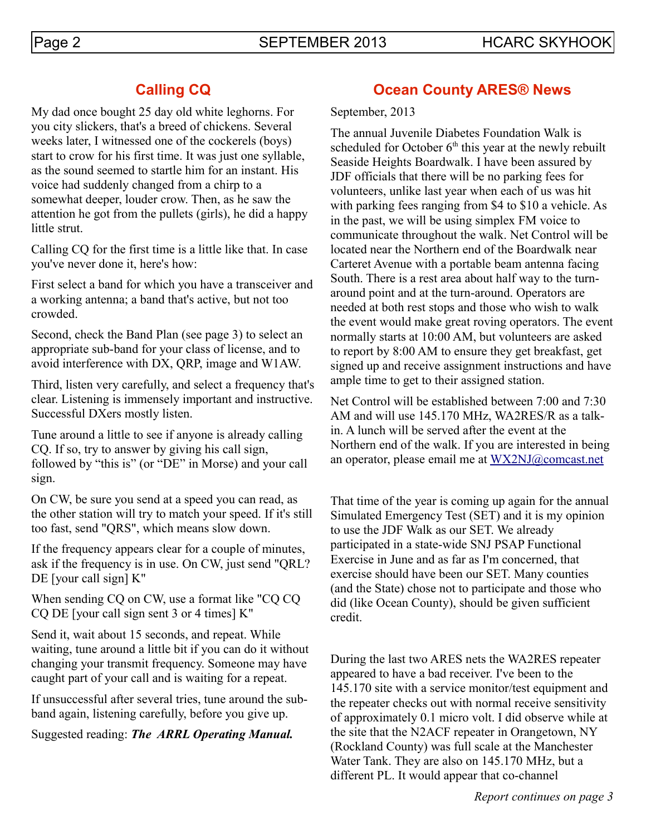# **Calling CQ**

My dad once bought 25 day old white leghorns. For you city slickers, that's a breed of chickens. Several weeks later, I witnessed one of the cockerels (boys) start to crow for his first time. It was just one syllable, as the sound seemed to startle him for an instant. His voice had suddenly changed from a chirp to a somewhat deeper, louder crow. Then, as he saw the attention he got from the pullets (girls), he did a happy little strut.

Calling CQ for the first time is a little like that. In case you've never done it, here's how:

First select a band for which you have a transceiver and a working antenna; a band that's active, but not too crowded.

Second, check the Band Plan (see page 3) to select an appropriate sub-band for your class of license, and to avoid interference with DX, QRP, image and W1AW.

Third, listen very carefully, and select a frequency that's clear. Listening is immensely important and instructive. Successful DXers mostly listen.

Tune around a little to see if anyone is already calling CQ. If so, try to answer by giving his call sign, followed by "this is" (or "DE" in Morse) and your call sign.

On CW, be sure you send at a speed you can read, as the other station will try to match your speed. If it's still too fast, send "QRS", which means slow down.

If the frequency appears clear for a couple of minutes, ask if the frequency is in use. On CW, just send "QRL? DE [your call sign]  $K''$ 

When sending CQ on CW, use a format like "CQ CQ CQ DE [your call sign sent 3 or 4 times] K"

Send it, wait about 15 seconds, and repeat. While waiting, tune around a little bit if you can do it without changing your transmit frequency. Someone may have caught part of your call and is waiting for a repeat.

If unsuccessful after several tries, tune around the subband again, listening carefully, before you give up.

Suggested reading: *The ARRL Operating Manual.*

### **Ocean County ARES® News**

September, 2013

The annual Juvenile Diabetes Foundation Walk is scheduled for October  $6<sup>th</sup>$  this year at the newly rebuilt Seaside Heights Boardwalk. I have been assured by JDF officials that there will be no parking fees for volunteers, unlike last year when each of us was hit with parking fees ranging from \$4 to \$10 a vehicle. As in the past, we will be using simplex FM voice to communicate throughout the walk. Net Control will be located near the Northern end of the Boardwalk near Carteret Avenue with a portable beam antenna facing South. There is a rest area about half way to the turnaround point and at the turn-around. Operators are needed at both rest stops and those who wish to walk the event would make great roving operators. The event normally starts at 10:00 AM, but volunteers are asked to report by 8:00 AM to ensure they get breakfast, get signed up and receive assignment instructions and have ample time to get to their assigned station.

Net Control will be established between 7:00 and 7:30 AM and will use 145.170 MHz, WA2RES/R as a talkin. A lunch will be served after the event at the Northern end of the walk. If you are interested in being an operator, please email me at [WX2NJ@comcast.net](mailto:WX2NJ@comcast.net)

That time of the year is coming up again for the annual Simulated Emergency Test (SET) and it is my opinion to use the JDF Walk as our SET. We already participated in a state-wide SNJ PSAP Functional Exercise in June and as far as I'm concerned, that exercise should have been our SET. Many counties (and the State) chose not to participate and those who did (like Ocean County), should be given sufficient credit.

During the last two ARES nets the WA2RES repeater appeared to have a bad receiver. I've been to the 145.170 site with a service monitor/test equipment and the repeater checks out with normal receive sensitivity of approximately 0.1 micro volt. I did observe while at the site that the N2ACF repeater in Orangetown, NY (Rockland County) was full scale at the Manchester Water Tank. They are also on 145.170 MHz, but a different PL. It would appear that co-channel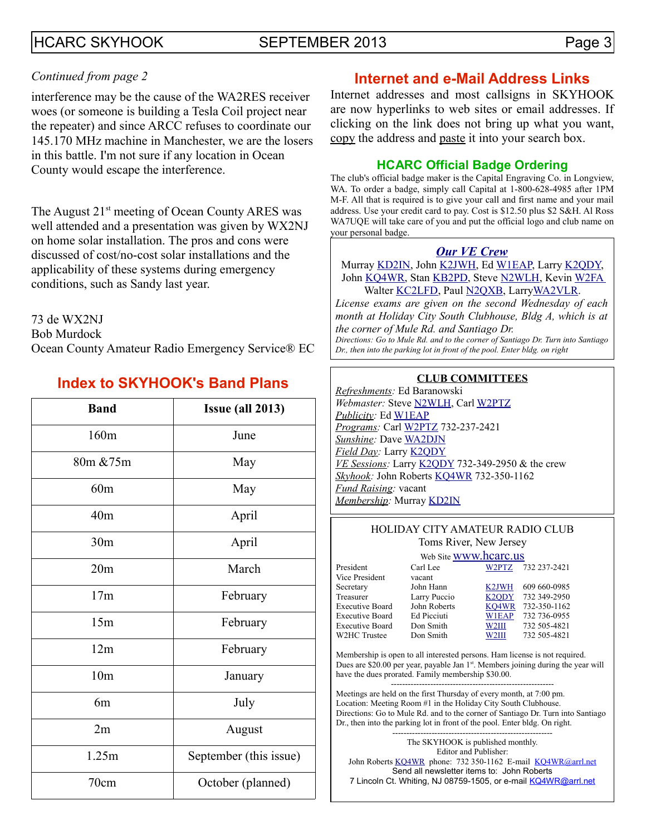### HCARC SKYHOOK SEPTEMBER 2013 Page 3

#### *Continued from page 2*

interference may be the cause of the WA2RES receiver woes (or someone is building a Tesla Coil project near the repeater) and since ARCC refuses to coordinate our 145.170 MHz machine in Manchester, we are the losers in this battle. I'm not sure if any location in Ocean County would escape the interference.

The August  $21<sup>st</sup>$  meeting of Ocean County ARES was well attended and a presentation was given by WX2NJ on home solar installation. The pros and cons were discussed of cost/no-cost solar installations and the applicability of these systems during emergency conditions, such as Sandy last year.

73 de WX2NJ

Bob Murdock

Ocean County Amateur Radio Emergency Service® EC

### **Index to SKYHOOK's Band Plans**

| <b>Band</b>     | <b>Issue (all 2013)</b> |  |  |  |  |  |
|-----------------|-------------------------|--|--|--|--|--|
| 160m            | June                    |  |  |  |  |  |
| 80m & 75m       | May                     |  |  |  |  |  |
| 60m             | May                     |  |  |  |  |  |
| 40 <sub>m</sub> | April                   |  |  |  |  |  |
| 30 <sub>m</sub> | April                   |  |  |  |  |  |
| 20m             | March                   |  |  |  |  |  |
| 17m             | February                |  |  |  |  |  |
| 15m             | February                |  |  |  |  |  |
| 12m             | February                |  |  |  |  |  |
| 10 <sub>m</sub> | January                 |  |  |  |  |  |
| 6m              | July                    |  |  |  |  |  |
| 2m              | August                  |  |  |  |  |  |
| 1.25m           | September (this issue)  |  |  |  |  |  |
| 70cm            | October (planned)       |  |  |  |  |  |

### **Internet and e-Mail Address Links**

Internet addresses and most callsigns in SKYHOOK are now hyperlinks to web sites or email addresses. If clicking on the link does not bring up what you want, copy the address and paste it into your search box.

#### **HCARC Official Badge Ordering**

The club's official badge maker is the Capital Engraving Co. in Longview, WA. To order a badge, simply call Capital at 1-800-628-4985 after 1PM M-F. All that is required is to give your call and first name and your mail address. Use your credit card to pay. Cost is \$12.50 plus \$2 S&H. Al Ross WA7UQE will take care of you and put the official logo and club name on your personal badge.

#### *[Our VE Crew](mailto:lpuccio1@comcast.net?subject=VE)*

Murray [KD2IN,](mailto:kd2in@arrl.net) John [K2JWH,](mailto:johnhinbarnegat@gmail.com) Ed [W1EAP,](mailto:epicciuti@hotmail.com) Larry [K2QDY,](mailto:lpuccio1@comcast.net) John [KQ4WR,](mailto:kq4wr@arrl.net) Stan [KB2PD,](mailto:kb2pd@arrl.net) Steve [N2WLH,](mailto:n2wlh@arrl.net) Kevin [W2FA](mailto:w2fa.kgw@gmail.com) Walter [KC2LFD,](mailto:wkorch@yahoo.com) Paul [N2QXB,](mailto:N2QXB@hotmail.com) Larr[yWA2VLR.](mailto:lloscalz@optonline.net)

*License exams are given on the second Wednesday of each month at Holiday City South Clubhouse, Bldg A, which is at the corner of Mule Rd. and Santiago Dr.*

*Directions: Go to Mule Rd. and to the corner of Santiago Dr. Turn into Santiago Dr., then into the parking lot in front of the pool. Enter bldg. on right*

#### **CLUB COMMITTEES**

*Refreshments:* Ed Baranowski *Webmaster:* Steve [N2WLH,](mailto:n2wlh@arrl.net) Carl [W2PTZ](mailto:w2ptz@arrl.net) *Publicity:* Ed [W1EAP](mailto:epicciuti@hotmail.com) *Programs:* Carl [W2PTZ](mailto:w2ptz@arrl.net) 732-237-2421 *Sunshine:* Dave [WA2DJN](mailto:wa2djn3@verizon.net) *Field Day:* Larry [K2QDY](mailto:lpuccio1@comcast.net) *VE Sessions:* Larry [K2QDY](mailto:lpuccio1@comcast.net) 732-349-2950 & the crew *Skyhook:* John Roberts [KQ4WR](mailto:kq4wr@arrl.net) 732-350-1162 *Fund Raising:* vacant *Membership:* Murray [KD2IN](mailto:kd2in@arrl.net)

#### HOLIDAY CITY AMATEUR RADIO CLUB Toms River, New Jersey

|                        | Web Site WWW.hcarc.us |                    |              |
|------------------------|-----------------------|--------------------|--------------|
| President              | Carl Lee              | W2PTZ              | 732 237-2421 |
| Vice President         | vacant                |                    |              |
| Secretary              | John Hann             | K <sub>2</sub> JWH | 609 660-0985 |
| Treasurer              | Larry Puccio          | K <sub>2</sub> ODY | 732 349-2950 |
| <b>Executive Board</b> | John Roberts          | KO4WR              | 732-350-1162 |
| <b>Executive Board</b> | Ed Picciuti           | <b>W1EAP</b>       | 732 736-0955 |
| <b>Executive Board</b> | Don Smith             | W <sub>2III</sub>  | 732 505-4821 |
| W2HC Trustee           | Don Smith             | W2III              | 732 505-4821 |
|                        |                       |                    |              |

Membership is open to all interested persons. Ham license is not required. Dues are \$20.00 per year, payable Jan 1<sup>st</sup>. Members joining during the year will have the dues prorated. Family membership \$30.00.

---------------------------------------------------------- Meetings are held on the first Thursday of every month, at 7:00 pm. Location: Meeting Room #1 in the Holiday City South Clubhouse. Directions: Go to Mule Rd. and to the corner of Santiago Dr. Turn into Santiago Dr., then into the parking lot in front of the pool. Enter bldg. On right.

--------------------------------------------------------- The SKYHOOK is published monthly. Editor and Publisher: John Roberts [KQ4WR](mailto:kq4wr@arrl.net) phone: 732 350-1162 E-mail [KQ4WR@arrl.net](mailto:KQ4WR@arrl.net) Send all newsletter items to: John Roberts 7 Lincoln Ct. Whiting, NJ 08759-1505, or e-mail [KQ4WR@arrl.net](mailto:KQ4WR@arrl.net)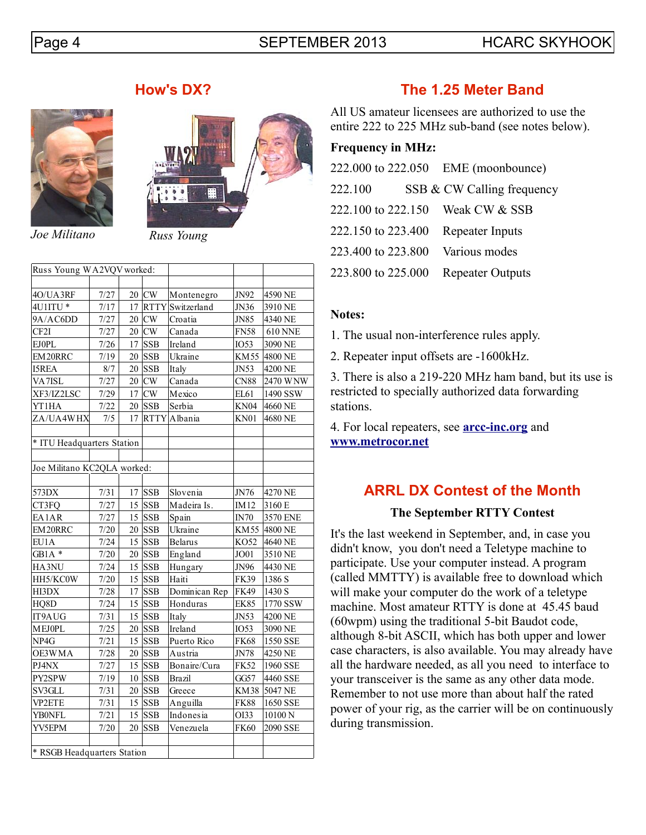### Page 4 SEPTEMBER 2013 HCARC SKYHOOK



*Joe Militano Russ Young*



| Russ Young WA2VQV worked:   |        |      |            |                     |             |                     |  |  |
|-----------------------------|--------|------|------------|---------------------|-------------|---------------------|--|--|
|                             |        |      |            |                     |             |                     |  |  |
| 4O/UA3RF                    | 7/27   |      | $20$ CW    | Montenegro          | JN92        | 4590 NE             |  |  |
| 4U1ITU*                     | 7/17   |      |            | 17 RTTY Switzerland | JN36        | 3910 NE             |  |  |
| 9A/AC6DD                    | 7/27   |      | $20$ CW    | Croatia             | JN85        | 4340 NE             |  |  |
| CF <sub>2I</sub>            | 7/27   |      | $20$ CW    | Canada              | <b>FN58</b> | <b>610 NNE</b>      |  |  |
| <b>EJOPL</b>                | 7/26   |      | $17$ SSB   | Ireland             | <b>IO53</b> | 3090 NE             |  |  |
| EM20RRC                     | 7/19   |      | $20$ SSB   | Ukraine             | <b>KM55</b> | 4800 NE             |  |  |
| <b>I5REA</b>                | 8/7    |      | $20$ SSB   | Italy               | JN53        | 4200 NE             |  |  |
| VA7ISL                      | 7/27   |      | $20$ CW    | Canada              | <b>CN88</b> | 2470 WNW            |  |  |
| XF3/IZ2LSC                  | 7/29   |      | $17$ CW    | Mexico              | EL61        | 1490 SSW            |  |  |
| YT1HA                       | 7/22   |      | $20$ SSB   | Serbia              | <b>KN04</b> | 4660 NE             |  |  |
| ZA/UA4WHX                   | 7/5    | 17   |            | RTTY Albania        | <b>KN01</b> | 4680 NE             |  |  |
|                             |        |      |            |                     |             |                     |  |  |
| * ITU Headquarters Station  |        |      |            |                     |             |                     |  |  |
|                             |        |      |            |                     |             |                     |  |  |
| Joe Militano KC2QLA worked: |        |      |            |                     |             |                     |  |  |
|                             |        |      |            |                     |             |                     |  |  |
| 573DX                       | 7/31   |      | $17$ SSB   | Slovenia            | JN76        | 4270 NE             |  |  |
| CT3FQ                       | 7/27   |      | $15$ SSB   | Madeira Is.         | IM12        | 3160 E              |  |  |
| EA1AR                       | 7/27   |      | $15$ SSB   | Spain               | $IN70$      | 3570 ENE            |  |  |
| EM20RRC                     | $7/20$ |      | $20$ SSB   | Ukraine             | KM 55       | 4800 NE             |  |  |
| EU1A                        | 7/24   |      | $15$ SSB   | <b>Belarus</b>      | KO52        | 4640 NE             |  |  |
| $GB1A*$                     | $7/20$ |      | $20$ SSB   | England             | JO01        | 3510 NE             |  |  |
| HA3NU                       | 7/24   |      | $15$ SSB   | Hungary             | JN96        | 4430 NE             |  |  |
| HH5/KC0W                    | 7/20   |      | $15$ SSB   | Haiti               | <b>FK39</b> | 1386 S              |  |  |
| HI3DX                       | $7/28$ |      | $17$ SSB   | Dominican Rep       | <b>FK49</b> | 1430 S              |  |  |
| HQ8D                        | 7/24   |      | $15$ SSB   | Honduras            | <b>EK85</b> | 1770 SSW            |  |  |
| IT9AUG                      | 7/31   |      | $15$ SSB   | Italy               | JN53        | 4200 NE             |  |  |
| <b>MEJOPL</b>               | 7/25   |      | $20$ SSB   | Ireland             | <b>IO53</b> | 3090 NE             |  |  |
| NP4G                        | 7/21   |      | $15$ SSB   | Puerto Rico         | <b>FK68</b> | 1550 SSE            |  |  |
| OE3WMA                      | 7/28   |      | $20$ SSB   | Austria             | JN78        | 4250 NE             |  |  |
| PJ4NX                       | 7/27   |      | $15$ SSB   | Bonaire/Cura        | <b>FK52</b> | 1960 SSE            |  |  |
| PY2SPW                      | 7/19   |      | $10$ SSB   | <b>Brazil</b>       | GG57        | 4460 SSE            |  |  |
| SV3GLL                      | 7/31   |      | $20$ SSB   | Greece              | KM38        | 5047 NE             |  |  |
| VP2ETE                      | 7/31   |      | $15$ SSB   | Anguilla            | <b>FK88</b> | 1650 SSE            |  |  |
| YB0NFL                      | 7/21   |      | $15$ SSB   | Indonesia           | OI33        | $10100\,\mathrm{N}$ |  |  |
| YV5EPM                      | 7/20   | 20 l | <b>SSB</b> | Venezuela           | <b>FK60</b> | 2090 SSE            |  |  |
|                             |        |      |            |                     |             |                     |  |  |
| * RSGB Headquarters Station |        |      |            |                     |             |                     |  |  |

### **How's DX? The 1.25 Meter Band**

All US amateur licensees are authorized to use the entire 222 to 225 MHz sub-band (see notes below).

### **Frequency in MHz:**

|         |                    | 222.000 to 222.050 EME (moonbounce) |
|---------|--------------------|-------------------------------------|
| 222.100 |                    | SSB & CW Calling frequency          |
|         | 222,100 to 222,150 | Weak CW & SSB                       |
|         |                    | 222.150 to 223.400 Repeater Inputs  |
|         |                    | 223.400 to 223.800 Various modes    |
|         | 223.800 to 225.000 | <b>Repeater Outputs</b>             |

#### **Notes:**

1. The usual non-interference rules apply.

2. Repeater input offsets are -1600kHz.

3. There is also a 219-220 MHz ham band, but its use is restricted to specially authorized data forwarding stations.

4. For local repeaters, see **[arcc-inc.org](http://www.arcc-inc.org/)** and **[www.metrocor.net](http://www.metrocor.net/)**

### **ARRL DX Contest of the Month**

### **The September RTTY Contest**

It's the last weekend in September, and, in case you didn't know, you don't need a Teletype machine to participate. Use your computer instead. A program (called MMTTY) is available free to download which will make your computer do the work of a teletype machine. Most amateur RTTY is done at 45.45 baud (60wpm) using the traditional 5-bit Baudot code, although 8-bit ASCII, which has both upper and lower case characters, is also available. You may already have all the hardware needed, as all you need to interface to your transceiver is the same as any other data mode. Remember to not use more than about half the rated power of your rig, as the carrier will be on continuously during transmission.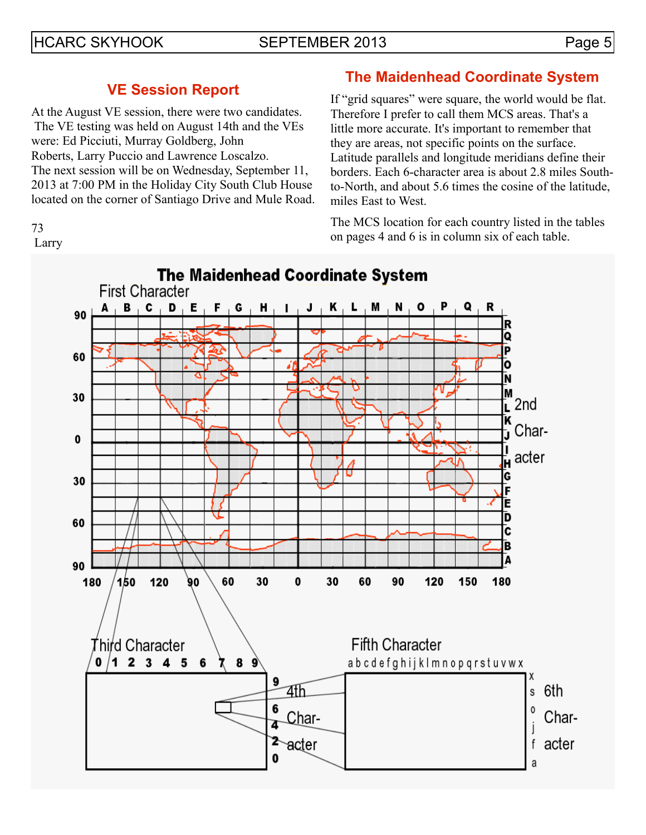# HCARC SKYHOOK SEPTEMBER 2013 Page 5

### **VE Session Report**

At the August VE session, there were two candidates. The VE testing was held on August 14th and the VEs were: Ed Picciuti, Murray Goldberg, John Roberts, Larry Puccio and Lawrence Loscalzo. The next session will be on Wednesday, September 11, 2013 at 7:00 PM in the Holiday City South Club House located on the corner of Santiago Drive and Mule Road.

#### 73 Larry

# **The Maidenhead Coordinate System**

If "grid squares" were square, the world would be flat. Therefore I prefer to call them MCS areas. That's a little more accurate. It's important to remember that they are areas, not specific points on the surface. Latitude parallels and longitude meridians define their borders. Each 6-character area is about 2.8 miles Southto-North, and about 5.6 times the cosine of the latitude, miles East to West.

The MCS location for each country listed in the tables on pages 4 and 6 is in column six of each table.